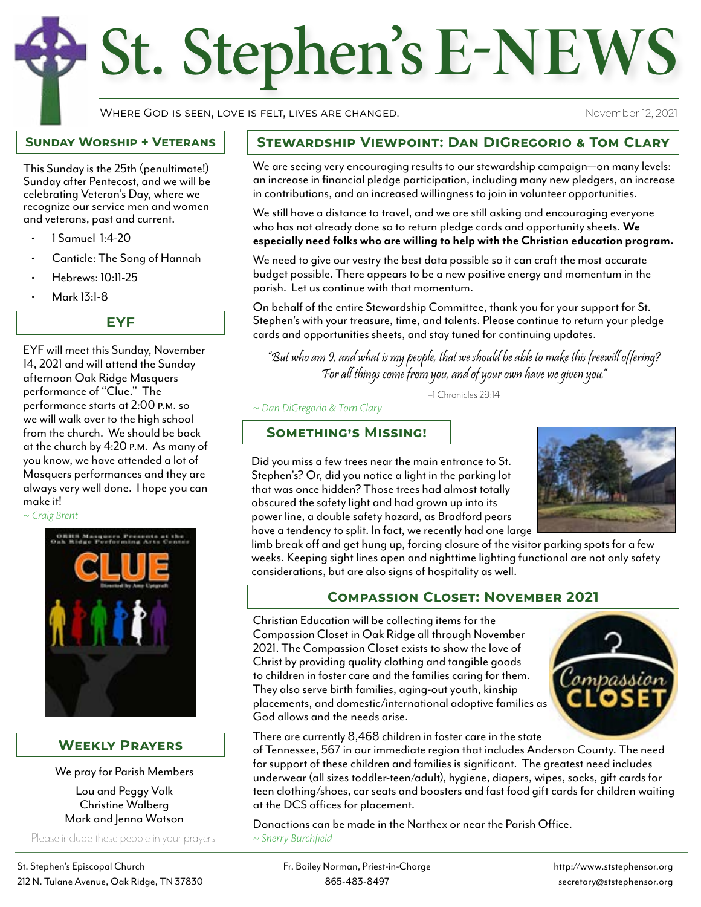# St. Stephen's **E-NEWS**

Where God is seen, love is felt, lives are changed.

November 12, 2021

#### **Sunday Worship + Veterans**

This Sunday is the 25th (penultimate!) Sunday after Pentecost, and we will be celebrating Veteran's Day, where we recognize our service men and women and veterans, past and current.

- 1 Samuel 1:4-20
- Canticle: The Song of Hannah
- Hebrews: 10:11-25
- Mark 13:1-8

**EYF**

EYF will meet this Sunday, November 14, 2021 and will attend the Sunday afternoon Oak Ridge Masquers performance of "Clue." The performance starts at 2:00 p.m. so we will walk over to the high school from the church. We should be back at the church by 4:20 p.m. As many of you know, we have attended a lot of Masquers performances and they are always very well done. I hope you can make it!

*~ Craig Brent*



#### **Weekly Prayers**

We pray for Parish Members

Lou and Peggy Volk Christine Walberg Mark and Jenna Watson

Please include these people in your prayers.

### **Stewardship Viewpoint: Dan DiGregorio & Tom Clary**

We are seeing very encouraging results to our stewardship campaign—on many levels: an increase in financial pledge participation, including many new pledgers, an increase in contributions, and an increased willingness to join in volunteer opportunities.

We still have a distance to travel, and we are still asking and encouraging everyone who has not already done so to return pledge cards and opportunity sheets. **We especially need folks who are willing to help with the Christian education program.**

We need to give our vestry the best data possible so it can craft the most accurate budget possible. There appears to be a new positive energy and momentum in the parish. Let us continue with that momentum.

On behalf of the entire Stewardship Committee, thank you for your support for St. Stephen's with your treasure, time, and talents. Please continue to return your pledge cards and opportunities sheets, and stay tuned for continuing updates.

"But who am I, and what is my people, that we should be able to make this freewill offering? For all things come from you, and of your own have we given you."

–1 Chronicles 29:14

*~ Dan DiGregorio & Tom Clary*

**Something's Missing!**

Did you miss a few trees near the main entrance to St. Stephen's? Or, did you notice a light in the parking lot that was once hidden? Those trees had almost totally obscured the safety light and had grown up into its power line, a double safety hazard, as Bradford pears have a tendency to split. In fact, we recently had one large



limb break off and get hung up, forcing closure of the visitor parking spots for a few weeks. Keeping sight lines open and nighttime lighting functional are not only safety considerations, but are also signs of hospitality as well.

# **Compassion Closet: November 2021**

Christian Education will be collecting items for the Compassion Closet in Oak Ridge all through November 2021. The Compassion Closet exists to show the love of Christ by providing quality clothing and tangible goods to children in foster care and the families caring for them. They also serve birth families, aging-out youth, kinship placements, and domestic/international adoptive families as God allows and the needs arise.



There are currently 8,468 children in foster care in the state

of Tennessee, 567 in our immediate region that includes Anderson County. The need for support of these children and families is significant. The greatest need includes underwear (all sizes toddler-teen/adult), hygiene, diapers, wipes, socks, gift cards for teen clothing/shoes, car seats and boosters and fast food gift cards for children waiting at the DCS offices for placement.

Donactions can be made in the Narthex or near the Parish Office. *~ Sherry Burchfield*